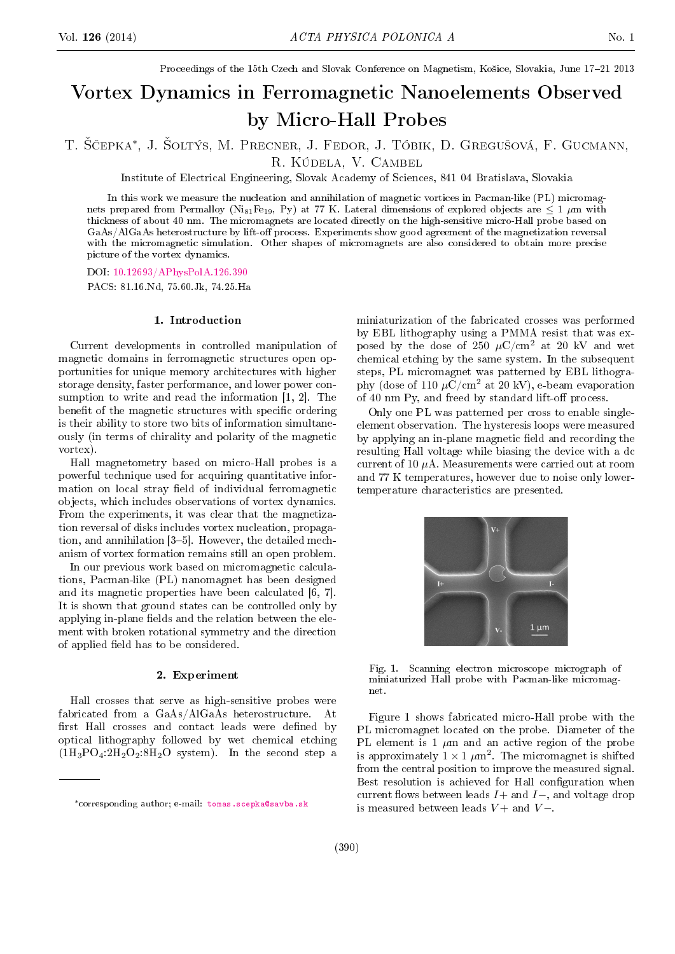Proceedings of the 15th Czech and Slovak Conference on Magnetism, Košice, Slovakia, June 17-21 2013

# Vortex Dynamics in Ferromagnetic Nanoelements Observed by Micro-Hall Probes

T. Ščepka\*, J. Šoltýs, M. Precner, J. Fedor, J. Tóbik, D. Gregušová, F. Gucmann, R. Kúdela, V. Cambel

Institute of Electrical Engineering, Slovak Academy of Sciences, 841 04 Bratislava, Slovakia

In this work we measure the nucleation and annihilation of magnetic vortices in Pacman-like (PL) micromagnets prepared from Permalloy (Ni<sub>81</sub>Fe<sub>19</sub>, Py) at 77 K. Lateral dimensions of explored objects are  $\leq 1 \mu m$  with thickness of about 40 nm. The micromagnets are located directly on the high-sensitive micro-Hall probe based on GaAs/AlGaAs heterostructure by lift-off process. Experiments show good agreement of the magnetization reversal with the micromagnetic simulation. Other shapes of micromagnets are also considered to obtain more precise picture of the vortex dynamics.

DOI: [10.12693/APhysPolA.126.390](http://dx.doi.org/10.12693/APhysPolA.126.390) PACS: 81.16.Nd, 75.60.Jk, 74.25.Ha

## 1. Introduction

Current developments in controlled manipulation of magnetic domains in ferromagnetic structures open opportunities for unique memory architectures with higher storage density, faster performance, and lower power consumption to write and read the information [1, 2]. The benefit of the magnetic structures with specific ordering is their ability to store two bits of information simultaneously (in terms of chirality and polarity of the magnetic vortex).

Hall magnetometry based on micro-Hall probes is a powerful technique used for acquiring quantitative information on local stray field of individual ferromagnetic objects, which includes observations of vortex dynamics. From the experiments, it was clear that the magnetization reversal of disks includes vortex nucleation, propagation, and annihilation  $[3-5]$ . However, the detailed mechanism of vortex formation remains still an open problem.

In our previous work based on micromagnetic calculations, Pacman-like (PL) nanomagnet has been designed and its magnetic properties have been calculated [6, 7]. It is shown that ground states can be controlled only by applying in-plane fields and the relation between the element with broken rotational symmetry and the direction of applied field has to be considered.

## 2. Experiment

Hall crosses that serve as high-sensitive probes were fabricated from a GaAs/AlGaAs heterostructure. At first Hall crosses and contact leads were defined by optical lithography followed by wet chemical etching  $(1H_3PO_4:2H_2O_2:8H_2O$  system). In the second step a miniaturization of the fabricated crosses was performed by EBL lithography using a PMMA resist that was exposed by the dose of 250  $\mu$ C/cm<sup>2</sup> at 20 kV and wet chemical etching by the same system. In the subsequent steps, PL micromagnet was patterned by EBL lithography (dose of 110  $\mu$ C/cm<sup>2</sup> at 20 kV), e-beam evaporation of 40 nm Py, and freed by standard lift-off process.

Only one PL was patterned per cross to enable singleelement observation. The hysteresis loops were measured by applying an in-plane magnetic field and recording the resulting Hall voltage while biasing the device with a dc current of 10  $\mu$ A. Measurements were carried out at room and 77 K temperatures, however due to noise only lowertemperature characteristics are presented.



Fig. 1. Scanning electron microscope micrograph of miniaturized Hall probe with Pacman-like micromagnet.

Figure 1 shows fabricated micro-Hall probe with the PL micromagnet located on the probe. Diameter of the PL element is 1  $\mu$ m and an active region of the probe is approximately  $1 \times 1 \ \mu m^2$ . The micromagnet is shifted from the central position to improve the measured signal. Best resolution is achieved for Hall configuration when current flows between leads  $I+$  and  $I-$ , and voltage drop is measured between leads  $V$  + and  $V$  –.

<sup>∗</sup>corresponding author; e-mail: [tomas.scepka@savba.sk](mailto:tomas.scepka@savba.sk)